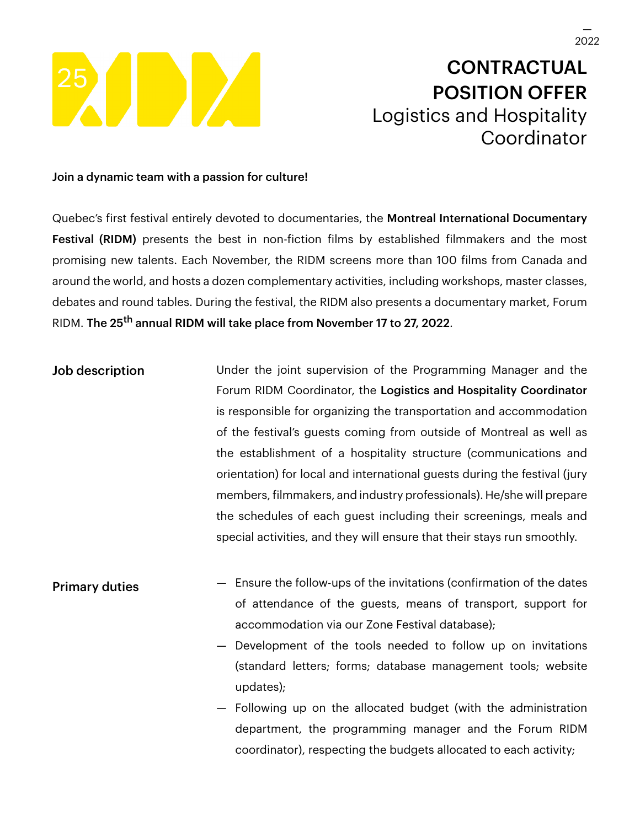

## **CONTRACTUAL** POSITION OFFER Logistics and Hospitality Coordinator

## Join a dynamic team with a passion for culture!

Quebec's first festival entirely devoted to documentaries, the Montreal International Documentary Festival (RIDM) presents the best in non-fiction films by established filmmakers and the most promising new talents. Each November, the RIDM screens more than 100 films from Canada and around the world, and hosts a dozen complementary activities, including workshops, master classes, debates and round tables. During the festival, the RIDM also presents a documentary market, Forum RIDM. The 25<sup>th</sup> annual RIDM will take place from November 17 to 27, 2022.

Job description **Under the joint supervision of the Programming Manager and the** Forum RIDM Coordinator, the Logistics and Hospitality Coordinator is responsible for organizing the transportation and accommodation of the festival's guests coming from outside of Montreal as well as the establishment of a hospitality structure (communications and orientation) for local and international guests during the festival (jury members, filmmakers, and industry professionals). He/she will prepare the schedules of each guest including their screenings, meals and special activities, and they will ensure that their stays run smoothly.

**Primary duties** — Ensure the follow-ups of the invitations (confirmation of the dates of attendance of the guests, means of transport, support for accommodation via our Zone Festival database);

> — Development of the tools needed to follow up on invitations (standard letters; forms; database management tools; website updates);

> — Following up on the allocated budget (with the administration department, the programming manager and the Forum RIDM coordinator), respecting the budgets allocated to each activity;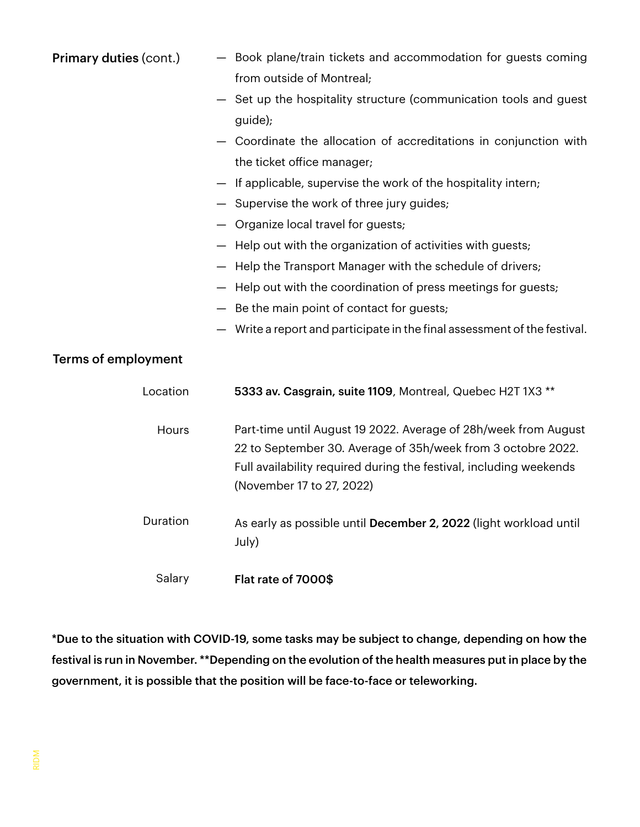| <b>Primary duties (cont.)</b> | - Book plane/train tickets and accommodation for guests coming                                                                                                                                                                     |
|-------------------------------|------------------------------------------------------------------------------------------------------------------------------------------------------------------------------------------------------------------------------------|
|                               | from outside of Montreal;                                                                                                                                                                                                          |
|                               | Set up the hospitality structure (communication tools and guest                                                                                                                                                                    |
|                               | guide);                                                                                                                                                                                                                            |
|                               | - Coordinate the allocation of accreditations in conjunction with                                                                                                                                                                  |
|                               | the ticket office manager;                                                                                                                                                                                                         |
|                               | If applicable, supervise the work of the hospitality intern;                                                                                                                                                                       |
|                               | Supervise the work of three jury guides;                                                                                                                                                                                           |
|                               | - Organize local travel for guests;                                                                                                                                                                                                |
|                               | - Help out with the organization of activities with guests;                                                                                                                                                                        |
|                               | Help the Transport Manager with the schedule of drivers;                                                                                                                                                                           |
|                               | Help out with the coordination of press meetings for guests;                                                                                                                                                                       |
|                               | Be the main point of contact for guests;                                                                                                                                                                                           |
|                               | Write a report and participate in the final assessment of the festival.                                                                                                                                                            |
| <b>Terms of employment</b>    |                                                                                                                                                                                                                                    |
| Location                      | 5333 av. Casgrain, suite 1109, Montreal, Quebec H2T 1X3 **                                                                                                                                                                         |
| Hours                         | Part-time until August 19 2022. Average of 28h/week from August<br>22 to September 30. Average of 35h/week from 3 octobre 2022.<br>Full availability required during the festival, including weekends<br>(November 17 to 27, 2022) |
| Duration                      | As early as possible until December 2, 2022 (light workload until<br>July)                                                                                                                                                         |
| Salary                        | Flat rate of 7000\$                                                                                                                                                                                                                |

\*Due to the situation with COVID-19, some tasks may be subject to change, depending on how the festival is run in November. \*\*Depending on the evolution of the health measures put in place by the government, it is possible that the position will be face-to-face or teleworking.